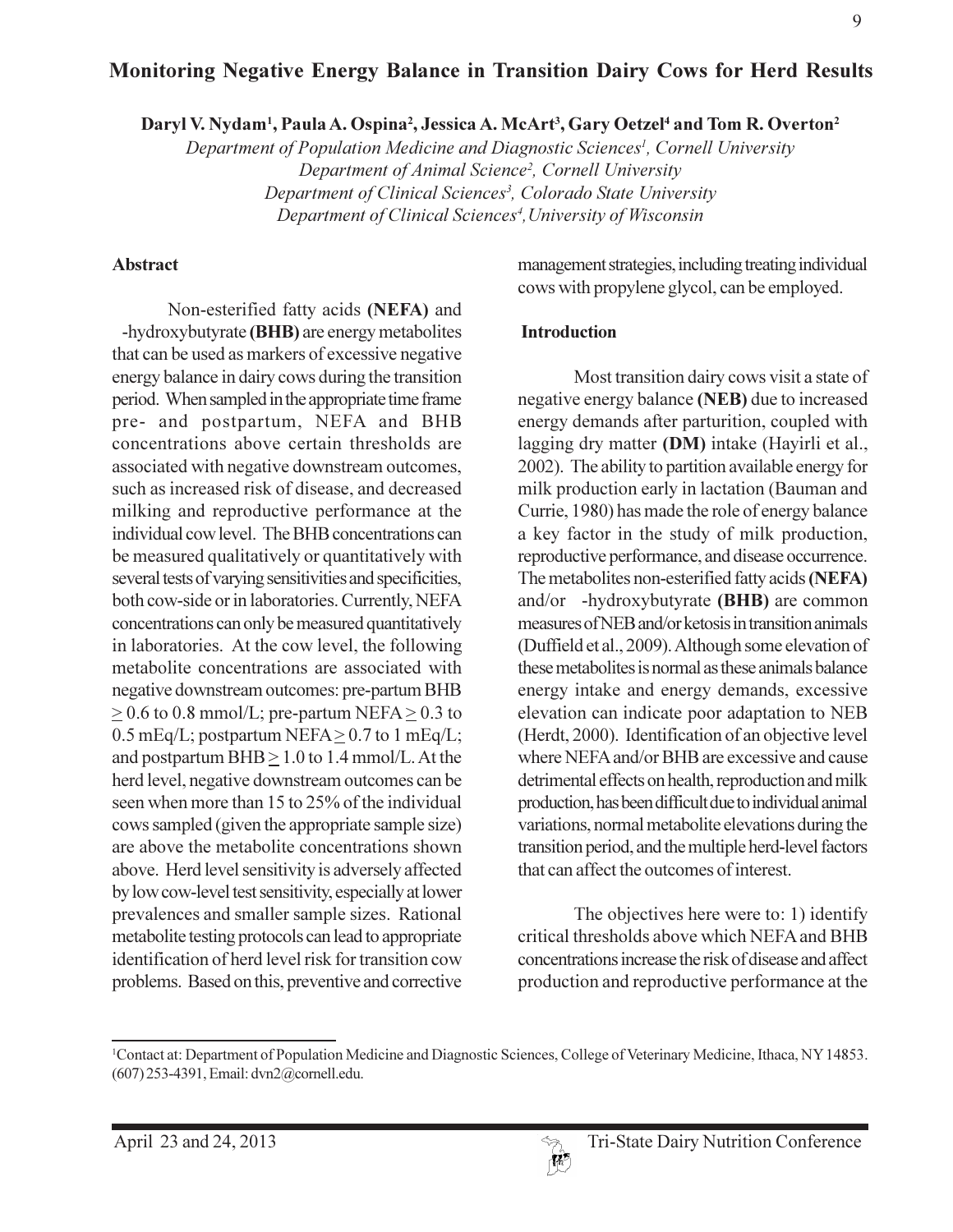# Monitoring Negative Energy Balance in Transition Dairy Cows for Herd Results

Daryl V. Nydam<sup>1</sup>, Paula A. Ospina<sup>2</sup>, Jessica A. McArt<sup>3</sup>, Gary Oetzel<sup>4</sup> and Tom R. Overton<sup>2</sup>

Department of Population Medicine and Diagnostic Sciences<sup>1</sup>, Cornell University Department of Animal Science<sup>2</sup>, Cornell University Department of Clinical Sciences<sup>3</sup>, Colorado State University Department of Clinical Sciences<sup>4</sup>, University of Wisconsin

#### **Abstract**

Non-esterified fatty acids (NEFA) and -hydroxybutyrate (BHB) are energy metabolites that can be used as markers of excessive negative energy balance in dairy cows during the transition period. When sampled in the appropriate time frame pre- and postpartum, NEFA and BHB concentrations above certain thresholds are associated with negative downstream outcomes, such as increased risk of disease, and decreased milking and reproductive performance at the individual cow level. The BHB concentrations can be measured qualitatively or quantitatively with several tests of varying sensitivities and specificities, both cow-side or in laboratories. Currently, NEFA concentrations can only be measured quantitatively in laboratories. At the cow level, the following metabolite concentrations are associated with negative downstream outcomes: pre-partum BHB  $> 0.6$  to 0.8 mmol/L; pre-partum NEFA  $> 0.3$  to 0.5 mEq/L; postpartum NEFA $\geq$  0.7 to 1 mEq/L; and postpartum  $BHB \geq 1.0$  to 1.4 mmol/L. At the herd level, negative downstream outcomes can be seen when more than 15 to 25% of the individual cows sampled (given the appropriate sample size) are above the metabolite concentrations shown above. Herd level sensitivity is adversely affected by low cow-level test sensitivity, especially at lower prevalences and smaller sample sizes. Rational metabolite testing protocols can lead to appropriate identification of herd level risk for transition cow problems. Based on this, preventive and corrective

management strategies, including treating individual cows with propylene glycol, can be employed.

#### **Introduction**

Most transition dairy cows visit a state of negative energy balance (NEB) due to increased energy demands after parturition, coupled with lagging dry matter (DM) intake (Hayirli et al., 2002). The ability to partition available energy for milk production early in lactation (Bauman and Currie, 1980) has made the role of energy balance a key factor in the study of milk production, reproductive performance, and disease occurrence. The metabolites non-esterified fatty acids (NEFA) and/or -hydroxybutyrate (BHB) are common measures of NEB and/or ketosis in transition animals (Duffield et al., 2009). Although some elevation of these metabolites is normal as these animals balance energy intake and energy demands, excessive elevation can indicate poor adaptation to NEB (Herdt, 2000). Identification of an objective level where NEFA and/or BHB are excessive and cause detrimental effects on health, reproduction and milk production, has been difficult due to individual animal variations, normal metabolite elevations during the transition period, and the multiple herd-level factors that can affect the outcomes of interest.

The objectives here were to: 1) identify critical thresholds above which NEFA and BHB concentrations increase the risk of disease and affect production and reproductive performance at the

<sup>&</sup>lt;sup>1</sup>Contact at: Department of Population Medicine and Diagnostic Sciences, College of Veterinary Medicine, Ithaca, NY 14853. (607) 253-4391, Email: dvn2@cornell.edu.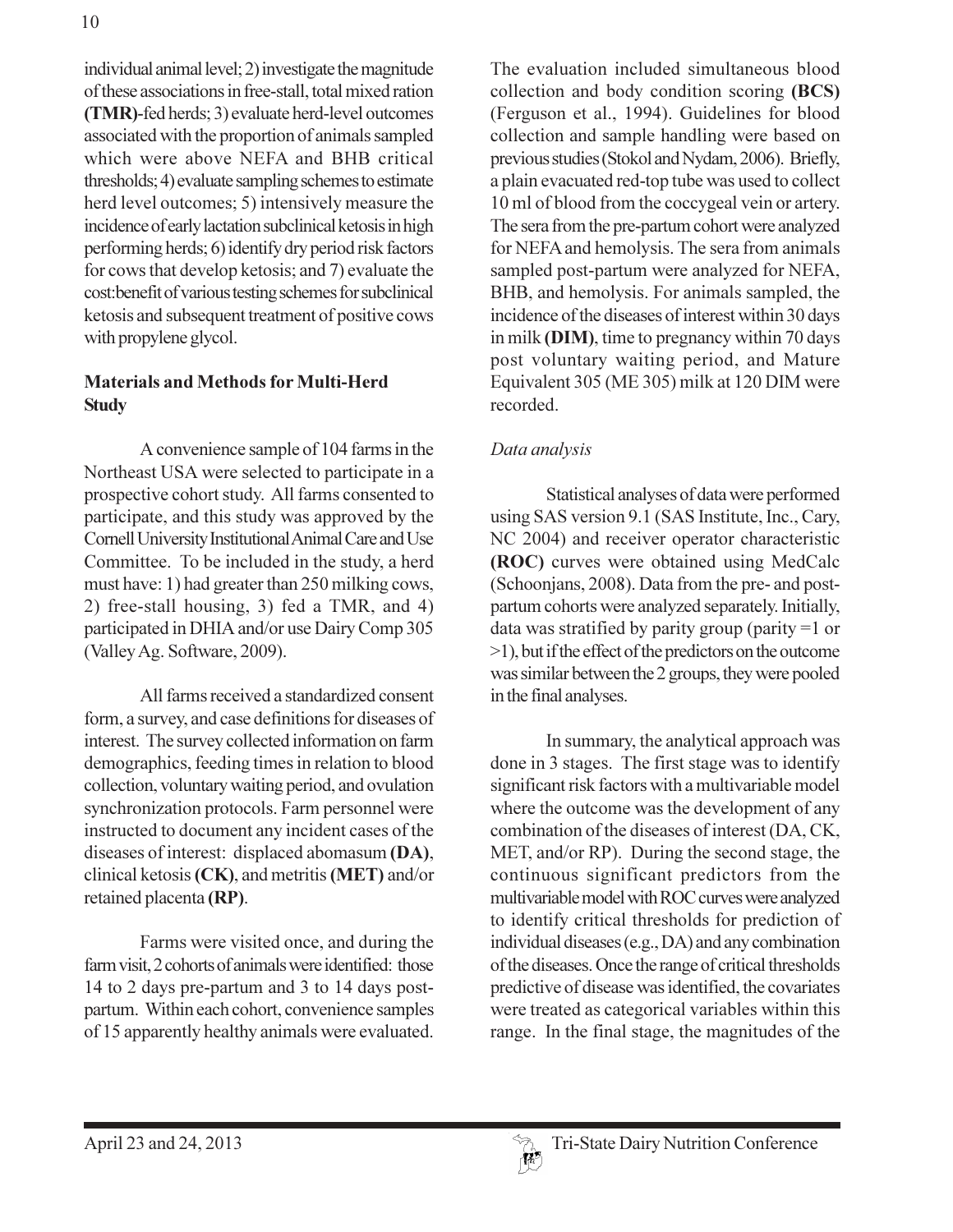individual animal level; 2) investigate the magnitude of these associations in free-stall, total mixed ration (TMR)-fed herds; 3) evaluate herd-level outcomes associated with the proportion of animals sampled which were above NEFA and BHB critical thresholds; 4) evaluate sampling schemes to estimate herd level outcomes; 5) intensively measure the incidence of early lactation subclinical ketosis in high performing herds; 6) identify dry period risk factors for cows that develop ketosis; and 7) evaluate the cost: benefit of various testing schemes for subclinical ketosis and subsequent treatment of positive cows with propylene glycol.

## **Materials and Methods for Multi-Herd Study**

A convenience sample of 104 farms in the Northeast USA were selected to participate in a prospective cohort study. All farms consented to participate, and this study was approved by the Cornell University Institutional Animal Care and Use Committee. To be included in the study, a herd must have: 1) had greater than 250 milking cows, 2) free-stall housing, 3) fed a TMR, and 4) participated in DHIA and/or use Dairy Comp 305 (Valley Ag. Software, 2009).

All farms received a standardized consent form, a survey, and case definitions for diseases of interest. The survey collected information on farm demographics, feeding times in relation to blood collection, voluntary waiting period, and ovulation synchronization protocols. Farm personnel were instructed to document any incident cases of the diseases of interest: displaced abomasum (DA), clinical ketosis (CK), and metritis (MET) and/or retained placenta (RP).

Farms were visited once, and during the farm visit, 2 cohorts of animals were identified: those 14 to 2 days pre-partum and 3 to 14 days postpartum. Within each cohort, convenience samples of 15 apparently healthy animals were evaluated. The evaluation included simultaneous blood collection and body condition scoring (BCS) (Ferguson et al., 1994). Guidelines for blood collection and sample handling were based on previous studies (Stokol and Nydam, 2006). Briefly, a plain evacuated red-top tube was used to collect 10 ml of blood from the coccygeal vein or artery. The sera from the pre-partum cohort were analyzed for NEFA and hemolysis. The sera from animals sampled post-partum were analyzed for NEFA, BHB, and hemolysis. For animals sampled, the incidence of the diseases of interest within 30 days in milk (DIM), time to pregnancy within 70 days post voluntary waiting period, and Mature Equivalent 305 (ME 305) milk at 120 DIM were recorded.

## Data analysis

Statistical analyses of data were performed using SAS version 9.1 (SAS Institute, Inc., Cary, NC 2004) and receiver operator characteristic (ROC) curves were obtained using MedCalc (Schoonjans, 2008). Data from the pre- and postpartum cohorts were analyzed separately. Initially, data was stratified by parity group (parity =1 or  $>1$ ), but if the effect of the predictors on the outcome was similar between the 2 groups, they were pooled in the final analyses.

In summary, the analytical approach was done in 3 stages. The first stage was to identify significant risk factors with a multivariable model where the outcome was the development of any combination of the diseases of interest (DA, CK, MET, and/or RP). During the second stage, the continuous significant predictors from the multivariable model with ROC curves were analyzed to identify critical thresholds for prediction of individual diseases (e.g., DA) and any combination of the diseases. Once the range of critical thresholds predictive of disease was identified, the covariates were treated as categorical variables within this range. In the final stage, the magnitudes of the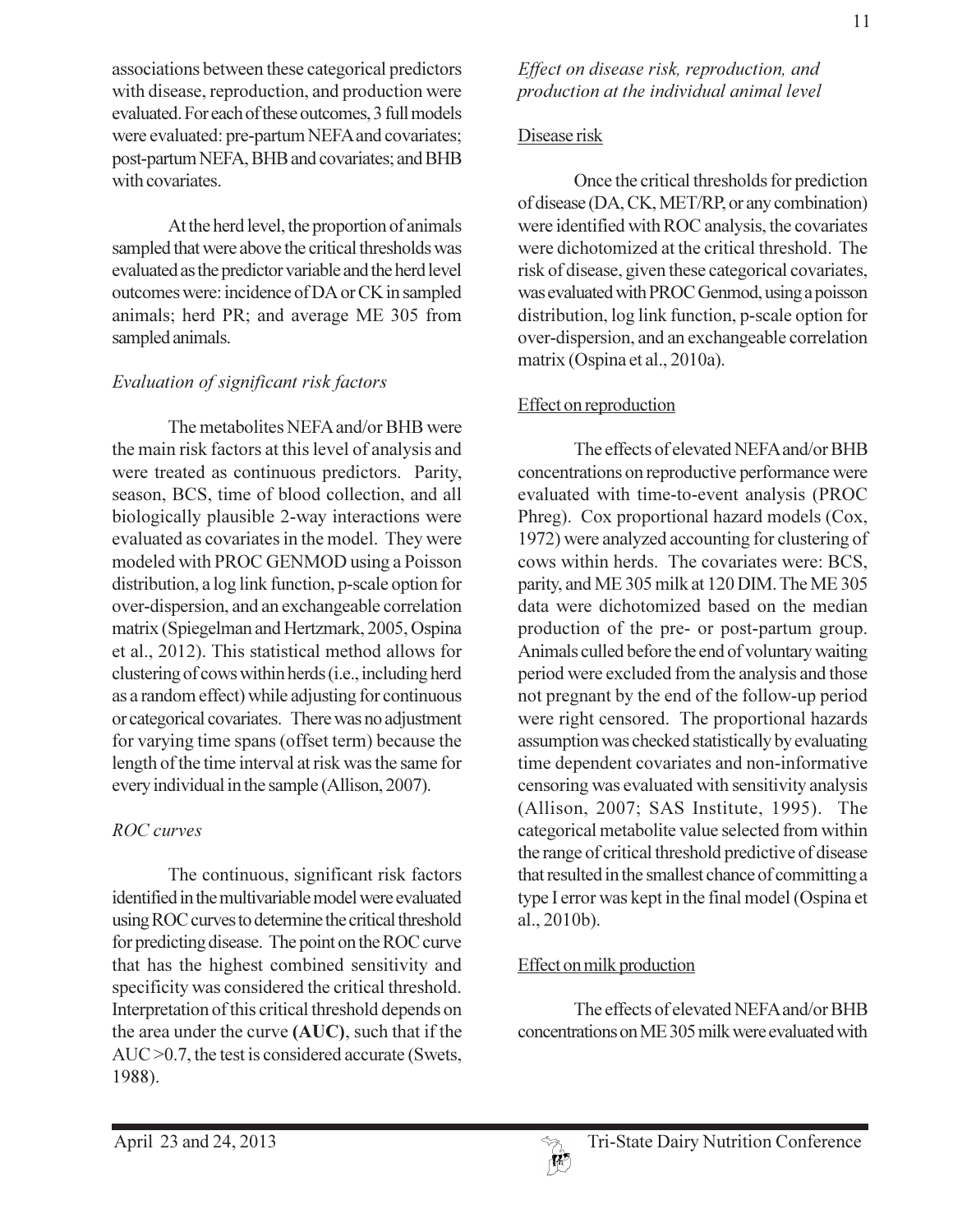associations between these categorical predictors with disease, reproduction, and production were evaluated. For each of these outcomes, 3 full models were evaluated: pre-partum NEFA and covariates; post-partum NEFA, BHB and covariates; and BHB with covariates.

At the herd level, the proportion of animals sampled that were above the critical thresholds was evaluated as the predictor variable and the herd level outcomes were: incidence of DA or CK in sampled animals; herd PR; and average ME 305 from sampled animals.

## Evaluation of significant risk factors

The metabolites NEFA and/or BHB were the main risk factors at this level of analysis and were treated as continuous predictors. Parity, season, BCS, time of blood collection, and all biologically plausible 2-way interactions were evaluated as covariates in the model. They were modeled with PROC GENMOD using a Poisson distribution, a log link function, p-scale option for over-dispersion, and an exchangeable correlation matrix (Spiegelman and Hertzmark, 2005, Ospina et al., 2012). This statistical method allows for clustering of cows within herds (i.e., including herd as a random effect) while adjusting for continuous or categorical covariates. There was no adjustment for varying time spans (offset term) because the length of the time interval at risk was the same for every individual in the sample (Allison, 2007).

## **ROC** curves

The continuous, significant risk factors identified in the multivariable model were evaluated using ROC curves to determine the critical threshold for predicting disease. The point on the ROC curve that has the highest combined sensitivity and specificity was considered the critical threshold. Interpretation of this critical threshold depends on the area under the curve (AUC), such that if the  $AUC > 0.7$ , the test is considered accurate (Swets, 1988).

### Disease risk

Once the critical thresholds for prediction of disease (DA, CK, MET/RP, or any combination) were identified with ROC analysis, the covariates were dichotomized at the critical threshold. The risk of disease, given these categorical covariates, was evaluated with PROC Genmod, using a poisson distribution, log link function, p-scale option for over-dispersion, and an exchangeable correlation matrix (Ospina et al., 2010a).

## Effect on reproduction

The effects of elevated NEFA and/or BHB concentrations on reproductive performance were evaluated with time-to-event analysis (PROC Phreg). Cox proportional hazard models (Cox, 1972) were analyzed accounting for clustering of cows within herds. The covariates were: BCS, parity, and ME 305 milk at 120 DIM. The ME 305 data were dichotomized based on the median production of the pre- or post-partum group. Animals culled before the end of voluntary waiting period were excluded from the analysis and those not pregnant by the end of the follow-up period were right censored. The proportional hazards assumption was checked statistically by evaluating time dependent covariates and non-informative censoring was evaluated with sensitivity analysis (Allison, 2007; SAS Institute, 1995). The categorical metabolite value selected from within the range of critical threshold predictive of disease that resulted in the smallest chance of committing a type I error was kept in the final model (Ospina et  $al., 2010b$ ).

## Effect on milk production

The effects of elevated NEFA and/or BHB concentrations on ME 305 milk were evaluated with

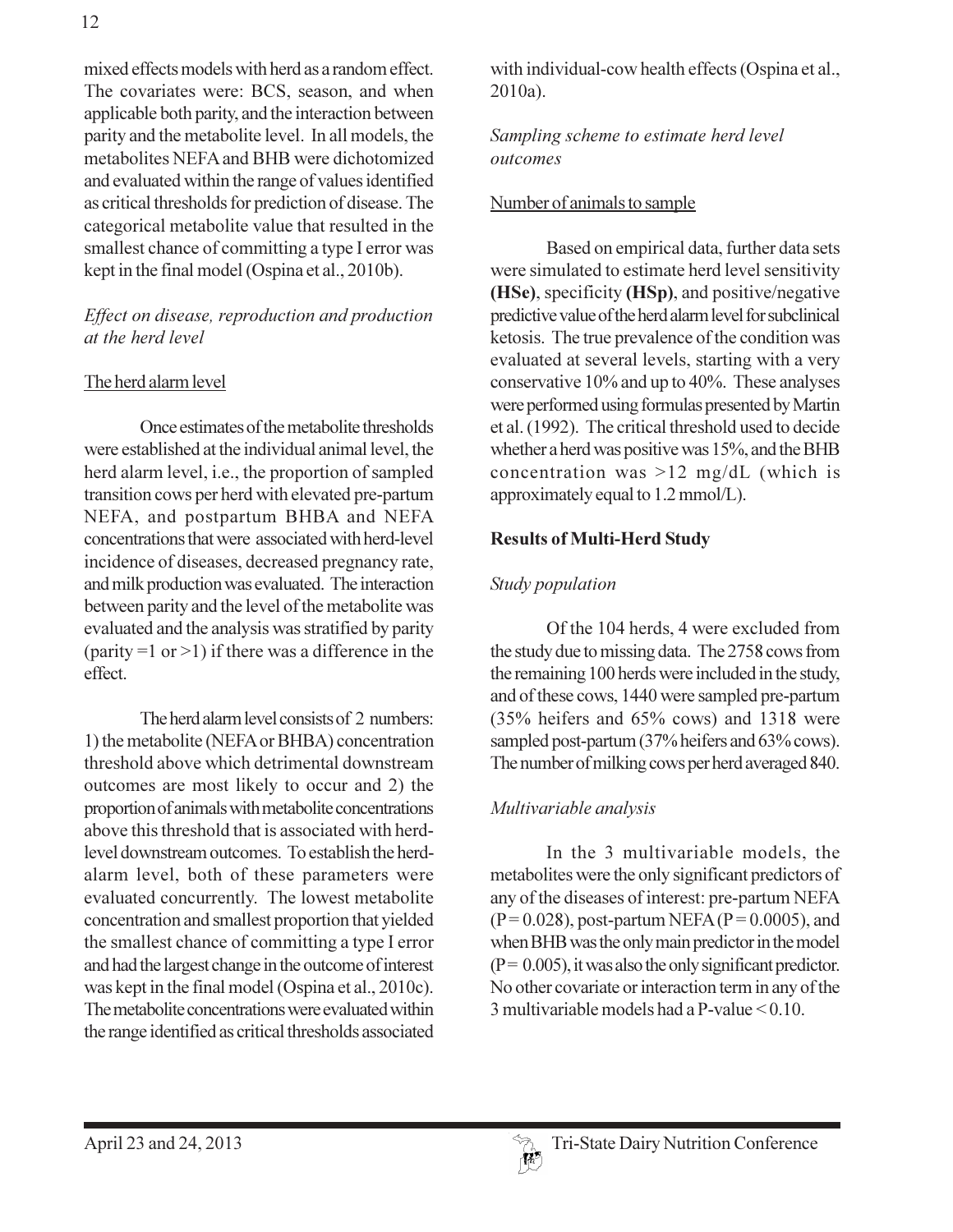mixed effects models with herd as a random effect. The covariates were: BCS, season, and when applicable both parity, and the interaction between parity and the metabolite level. In all models, the metabolites NEFA and BHB were dichotomized and evaluated within the range of values identified as critical thresholds for prediction of disease. The categorical metabolite value that resulted in the smallest chance of committing a type I error was kept in the final model (Ospina et al., 2010b).

### Effect on disease, reproduction and production at the herd level

## The herd alarm level

Once estimates of the metabolite thresholds were established at the individual animal level, the herd alarm level, i.e., the proportion of sampled transition cows per herd with elevated pre-partum NEFA, and postpartum BHBA and NEFA concentrations that were associated with herd-level incidence of diseases, decreased pregnancy rate, and milk production was evaluated. The interaction between parity and the level of the metabolite was evaluated and the analysis was stratified by parity (parity = 1 or > 1) if there was a difference in the effect.

The herd alarm level consists of 2 numbers: 1) the metabolite (NEFA or BHBA) concentration threshold above which detrimental downstream outcomes are most likely to occur and 2) the proportion of animals with metabolite concentrations above this threshold that is associated with herdlevel downstream outcomes. To establish the herdalarm level, both of these parameters were evaluated concurrently. The lowest metabolite concentration and smallest proportion that yielded the smallest chance of committing a type I error and had the largest change in the outcome of interest was kept in the final model (Ospina et al., 2010c). The metabolite concentrations were evaluated within the range identified as critical thresholds associated

with individual-cow health effects (Ospina et al.,  $2010a$ ).

Sampling scheme to estimate herd level outcomes

#### Number of animals to sample

Based on empirical data, further data sets were simulated to estimate herd level sensitivity (HSe), specificity (HSp), and positive/negative predictive value of the herd alarm level for subclinical ketosis. The true prevalence of the condition was evaluated at several levels, starting with a very conservative 10% and up to 40%. These analyses were performed using formulas presented by Martin et al. (1992). The critical threshold used to decide whether a herd was positive was 15%, and the BHB concentration was  $>12$  mg/dL (which is approximately equal to 1.2 mmol/L).

#### **Results of Multi-Herd Study**

#### Study population

Of the 104 herds, 4 were excluded from the study due to missing data. The 2758 cows from the remaining 100 herds were included in the study, and of these cows, 1440 were sampled pre-partum (35% heifers and 65% cows) and 1318 were sampled post-partum (37% heifers and 63% cows). The number of milking cows per herd averaged 840.

## Multivariable analysis

In the 3 multivariable models, the metabolites were the only significant predictors of any of the diseases of interest: pre-partum NEFA  $(P=0.028)$ , post-partum NEFA  $(P=0.0005)$ , and when BHB was the only main predictor in the model  $(P = 0.005)$ , it was also the only significant predictor. No other covariate or interaction term in any of the 3 multivariable models had a P-value  $< 0.10$ .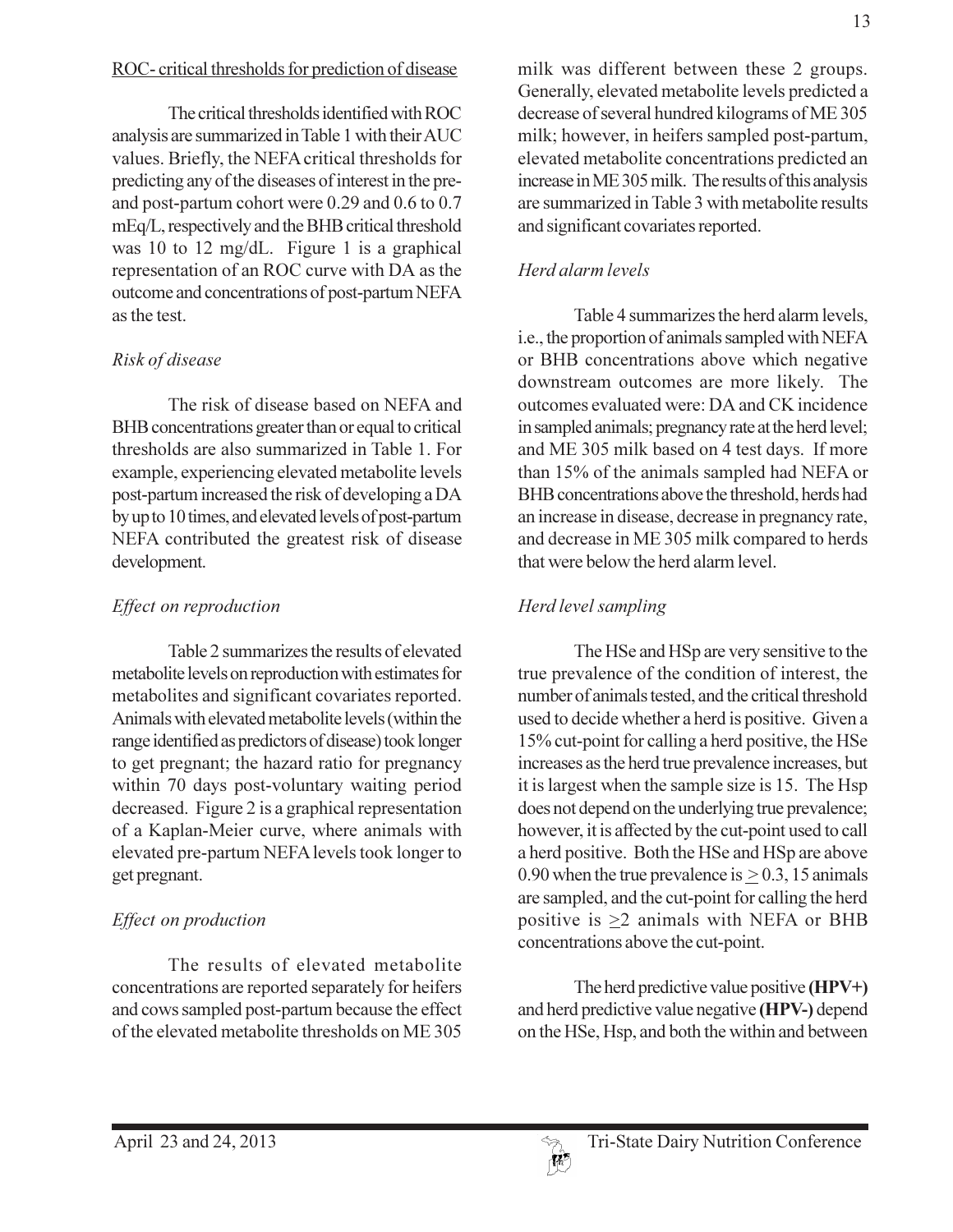## ROC-critical thresholds for prediction of disease

The critical thresholds identified with ROC analysis are summarized in Table 1 with their AUC values. Briefly, the NEFA critical thresholds for predicting any of the diseases of interest in the preand post-partum cohort were 0.29 and 0.6 to 0.7 mEq/L, respectively and the BHB critical threshold was 10 to 12 mg/dL. Figure 1 is a graphical representation of an ROC curve with DA as the outcome and concentrations of post-partum NEFA as the test.

## Risk of disease

The risk of disease based on NEFA and BHB concentrations greater than or equal to critical thresholds are also summarized in Table 1. For example, experiencing elevated metabolite levels post-partum increased the risk of developing a DA by up to 10 times, and elevated levels of post-partum NEFA contributed the greatest risk of disease development.

## Effect on reproduction

Table 2 summarizes the results of elevated metabolite levels on reproduction with estimates for metabolites and significant covariates reported. Animals with elevated metabolite levels (within the range identified as predictors of disease) took longer to get pregnant; the hazard ratio for pregnancy within 70 days post-voluntary waiting period decreased. Figure 2 is a graphical representation of a Kaplan-Meier curve, where animals with elevated pre-partum NEFA levels took longer to get pregnant.

## Effect on production

The results of elevated metabolite concentrations are reported separately for heifers and cows sampled post-partum because the effect of the elevated metabolite thresholds on ME 305

milk was different between these 2 groups. Generally, elevated metabolite levels predicted a decrease of several hundred kilograms of ME 305 milk; however, in heifers sampled post-partum, elevated metabolite concentrations predicted an increase in ME 305 milk. The results of this analysis are summarized in Table 3 with metabolite results and significant covariates reported.

# Herd alarm levels

Table 4 summarizes the herd alarm levels, i.e., the proportion of animals sampled with NEFA or BHB concentrations above which negative downstream outcomes are more likely. The outcomes evaluated were: DA and CK incidence in sampled animals; pregnancy rate at the herd level; and ME 305 milk based on 4 test days. If more than 15% of the animals sampled had NEFA or BHB concentrations above the threshold, herds had an increase in disease, decrease in pregnancy rate, and decrease in ME 305 milk compared to herds that were below the herd alarm level.

# Herd level sampling

The HSe and HSp are very sensitive to the true prevalence of the condition of interest, the number of animals tested, and the critical threshold used to decide whether a herd is positive. Given a 15% cut-point for calling a herd positive, the HSe increases as the herd true prevalence increases, but it is largest when the sample size is 15. The Hsp does not depend on the underlying true prevalence; however, it is affected by the cut-point used to call a herd positive. Both the HSe and HSp are above 0.90 when the true prevalence is  $\geq$  0.3, 15 animals are sampled, and the cut-point for calling the herd positive is  $\geq 2$  animals with NEFA or BHB concentrations above the cut-point.

The herd predictive value positive  $(HPV+)$ and herd predictive value negative (HPV-) depend on the HSe, Hsp, and both the within and between

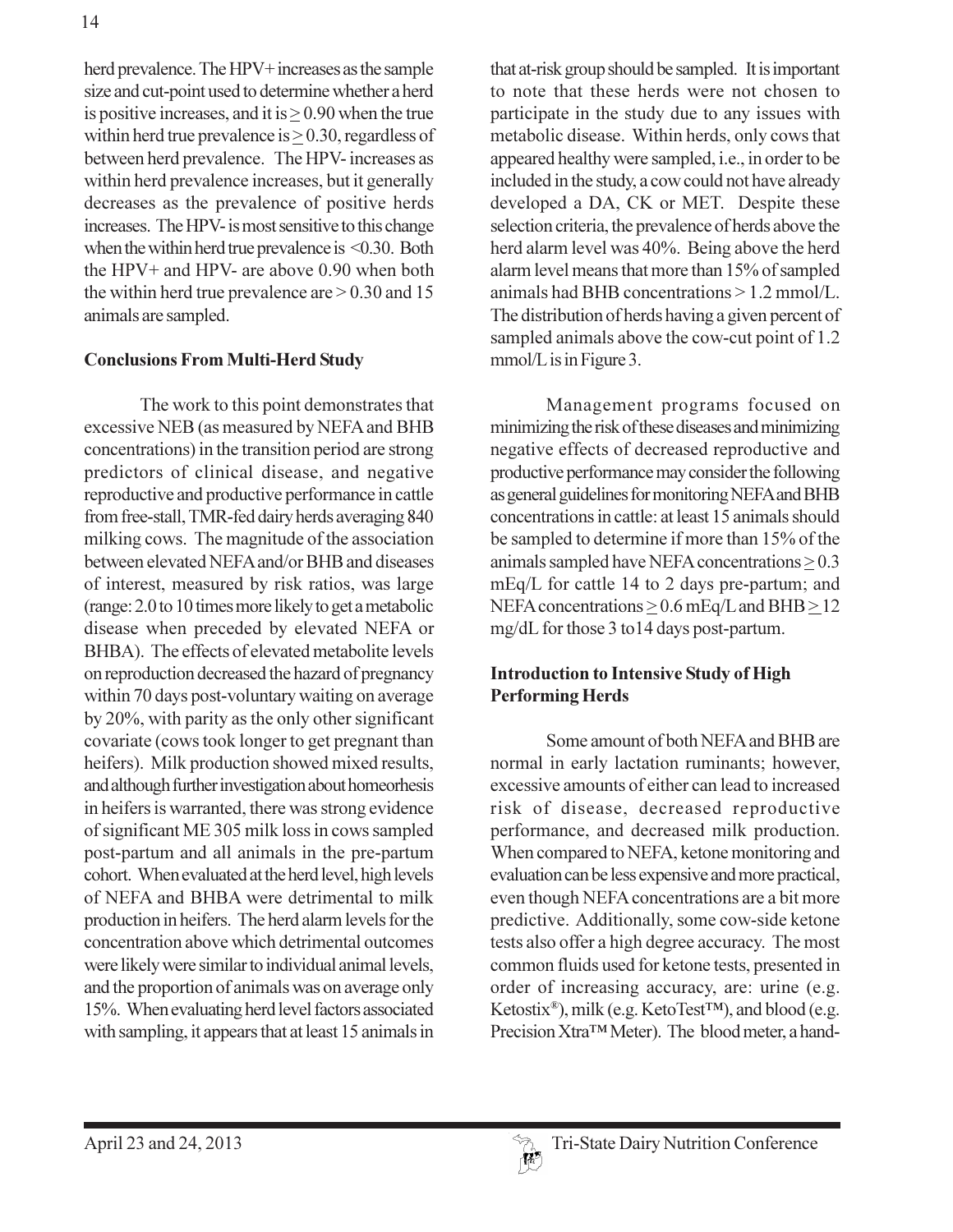herd prevalence. The HPV+ increases as the sample size and cut-point used to determine whether a herd is positive increases, and it is  $> 0.90$  when the true within herd true prevalence is  $\geq$  0.30, regardless of between herd prevalence. The HPV-increases as within herd prevalence increases, but it generally decreases as the prevalence of positive herds increases. The HPV- is most sensitive to this change when the within herd true prevalence is  $\leq 0.30$ . Both the HPV+ and HPV- are above  $0.90$  when both the within herd true prevalence are  $> 0.30$  and 15 animals are sampled.

## **Conclusions From Multi-Herd Study**

The work to this point demonstrates that excessive NEB (as measured by NEFA and BHB concentrations) in the transition period are strong predictors of clinical disease, and negative reproductive and productive performance in cattle from free-stall, TMR-fed dairy herds averaging 840 milking cows. The magnitude of the association between elevated NEFA and/or BHB and diseases of interest, measured by risk ratios, was large (range: 2.0 to 10 times more likely to get a metabolic disease when preceded by elevated NEFA or BHBA). The effects of elevated metabolite levels on reproduction decreased the hazard of pregnancy within 70 days post-voluntary waiting on average by 20%, with parity as the only other significant covariate (cows took longer to get pregnant than heifers). Milk production showed mixed results, and although further investigation about homeorhesis in heifers is warranted, there was strong evidence of significant ME 305 milk loss in cows sampled post-partum and all animals in the pre-partum cohort. When evaluated at the herd level, high levels of NEFA and BHBA were detrimental to milk production in heifers. The herd alarm levels for the concentration above which detrimental outcomes were likely were similar to individual animal levels, and the proportion of animals was on average only 15%. When evaluating herd level factors associated with sampling, it appears that at least 15 animals in

that at-risk group should be sampled. It is important to note that these herds were not chosen to participate in the study due to any issues with metabolic disease. Within herds, only cows that appeared healthy were sampled, i.e., in order to be included in the study, a cow could not have already developed a DA, CK or MET. Despite these selection criteria, the prevalence of herds above the herd alarm level was 40%. Being above the herd alarm level means that more than 15% of sampled animals had BHB concentrations  $> 1.2$  mmol/L. The distribution of herds having a given percent of sampled animals above the cow-cut point of 1.2 mmol/L is in Figure 3.

Management programs focused on minimizing the risk of these diseases and minimizing negative effects of decreased reproductive and productive performance may consider the following as general guidelines for monitoring NEFA and BHB concentrations in cattle: at least 15 animals should be sampled to determine if more than 15% of the animals sampled have NEFA concentrations  $\geq 0.3$ mEq/L for cattle 14 to 2 days pre-partum; and NEFA concentrations  $\geq$  0.6 mEq/L and BHB $\geq$ 12 mg/dL for those 3 to 14 days post-partum.

## **Introduction to Intensive Study of High Performing Herds**

Some amount of both NEFA and BHB are normal in early lactation ruminants; however, excessive amounts of either can lead to increased risk of disease, decreased reproductive performance, and decreased milk production. When compared to NEFA, ketone monitoring and evaluation can be less expensive and more practical, even though NEFA concentrations are a bit more predictive. Additionally, some cow-side ketone tests also offer a high degree accuracy. The most common fluids used for ketone tests, presented in order of increasing accuracy, are: urine (e.g. Ketostix®), milk (e.g. KetoTest<sup>™</sup>), and blood (e.g. Precision Xtra™ Meter). The blood meter, a hand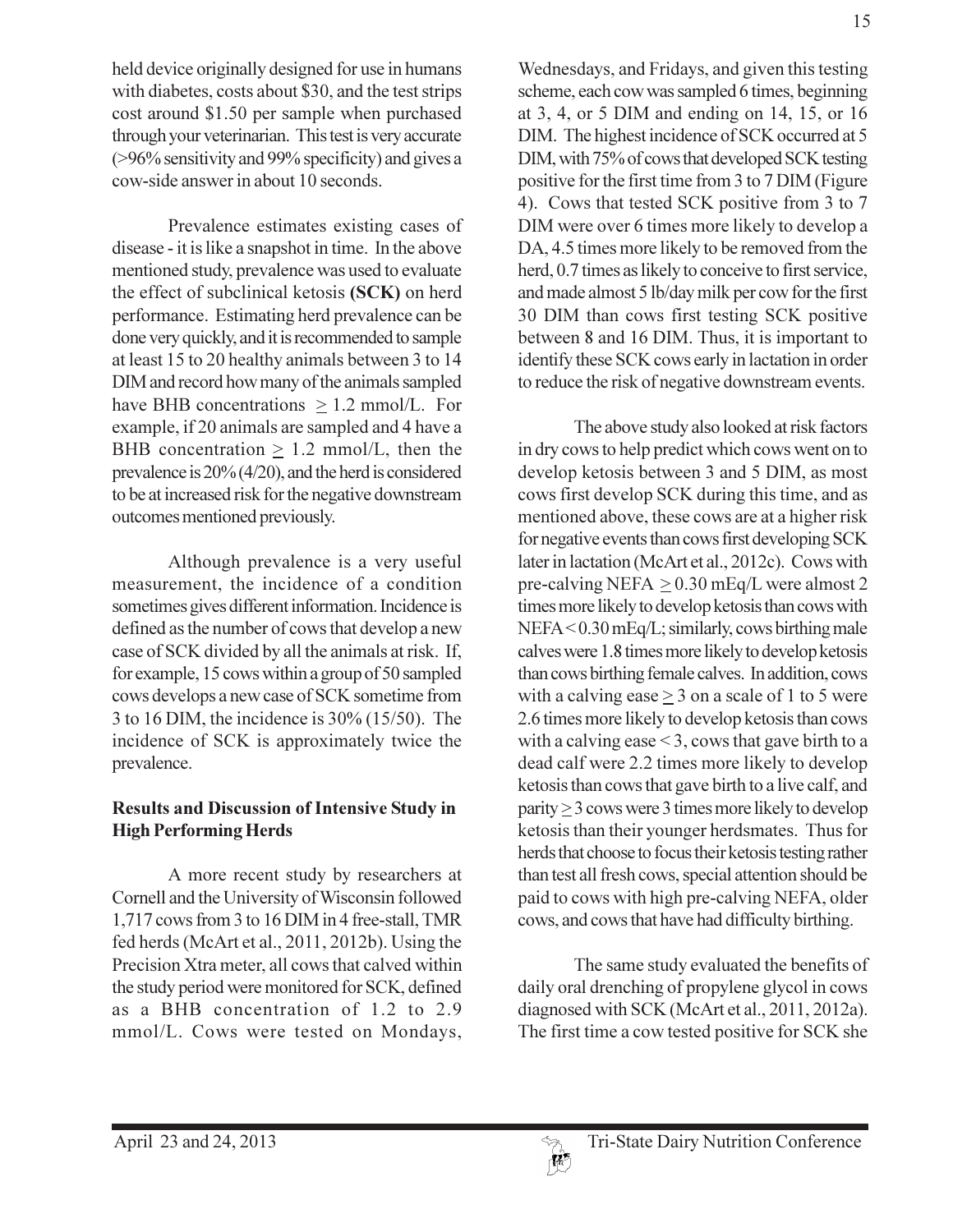held device originally designed for use in humans with diabetes, costs about \$30, and the test strips cost around \$1.50 per sample when purchased through your veterinarian. This test is very accurate (>96% sensitivity and 99% specificity) and gives a cow-side answer in about 10 seconds.

Prevalence estimates existing cases of disease - it is like a snapshot in time. In the above mentioned study, prevalence was used to evaluate the effect of subclinical ketosis (SCK) on herd performance. Estimating herd prevalence can be done very quickly, and it is recommended to sample at least 15 to 20 healthy animals between 3 to 14 DIM and record how many of the animals sampled have BHB concentrations  $> 1.2$  mmol/L. For example, if 20 animals are sampled and 4 have a BHB concentration  $\geq 1.2$  mmol/L, then the prevalence is  $20\%$  (4/20), and the herd is considered to be at increased risk for the negative downstream outcomes mentioned previously.

Although prevalence is a very useful measurement, the incidence of a condition sometimes gives different information. Incidence is defined as the number of cows that develop a new case of SCK divided by all the animals at risk. If, for example, 15 cows within a group of 50 sampled cows develops a new case of SCK sometime from 3 to 16 DIM, the incidence is  $30\%$  (15/50). The incidence of SCK is approximately twice the prevalence.

#### **Results and Discussion of Intensive Study in High Performing Herds**

A more recent study by researchers at Cornell and the University of Wisconsin followed 1,717 cows from 3 to 16 DIM in 4 free-stall, TMR fed herds (McArt et al., 2011, 2012b). Using the Precision Xtra meter, all cows that calved within the study period were monitored for SCK, defined as a BHB concentration of 1.2 to 2.9 mmol/L. Cows were tested on Mondays,

Wednesdays, and Fridays, and given this testing scheme, each cow was sampled 6 times, beginning at 3, 4, or 5 DIM and ending on 14, 15, or 16 DIM. The highest incidence of SCK occurred at 5 DIM, with 75% of cows that developed SCK testing positive for the first time from 3 to 7 DIM (Figure 4). Cows that tested SCK positive from 3 to 7 DIM were over 6 times more likely to develop a DA, 4.5 times more likely to be removed from the herd, 0.7 times as likely to conceive to first service, and made almost 5 lb/day milk per cow for the first 30 DIM than cows first testing SCK positive between 8 and 16 DIM. Thus, it is important to identify these SCK cows early in lactation in order to reduce the risk of negative downstream events.

The above study also looked at risk factors in dry cows to help predict which cows went on to develop ketosis between 3 and 5 DIM, as most cows first develop SCK during this time, and as mentioned above, these cows are at a higher risk for negative events than cows first developing SCK later in lactation (McArt et al., 2012c). Cows with pre-calving NEFA  $\geq$  0.30 mEq/L were almost 2 times more likely to develop ketosis than cows with NEFA < 0.30 mEq/L; similarly, cows birthing male calves were 1.8 times more likely to develop ketosis than cows birthing female calves. In addition, cows with a calving ease  $\geq$  3 on a scale of 1 to 5 were 2.6 times more likely to develop ketosis than cows with a calving ease  $\leq$  3, cows that gave birth to a dead calf were 2.2 times more likely to develop ketosis than cows that gave birth to a live calf, and  $parity \ge 3$  cows were 3 times more likely to develop ketosis than their younger herdsmates. Thus for herds that choose to focus their ketosis testing rather than test all fresh cows, special attention should be paid to cows with high pre-calving NEFA, older cows, and cows that have had difficulty birthing.

The same study evaluated the benefits of daily oral drenching of propylene glycol in cows diagnosed with SCK (McArt et al., 2011, 2012a). The first time a cow tested positive for SCK she

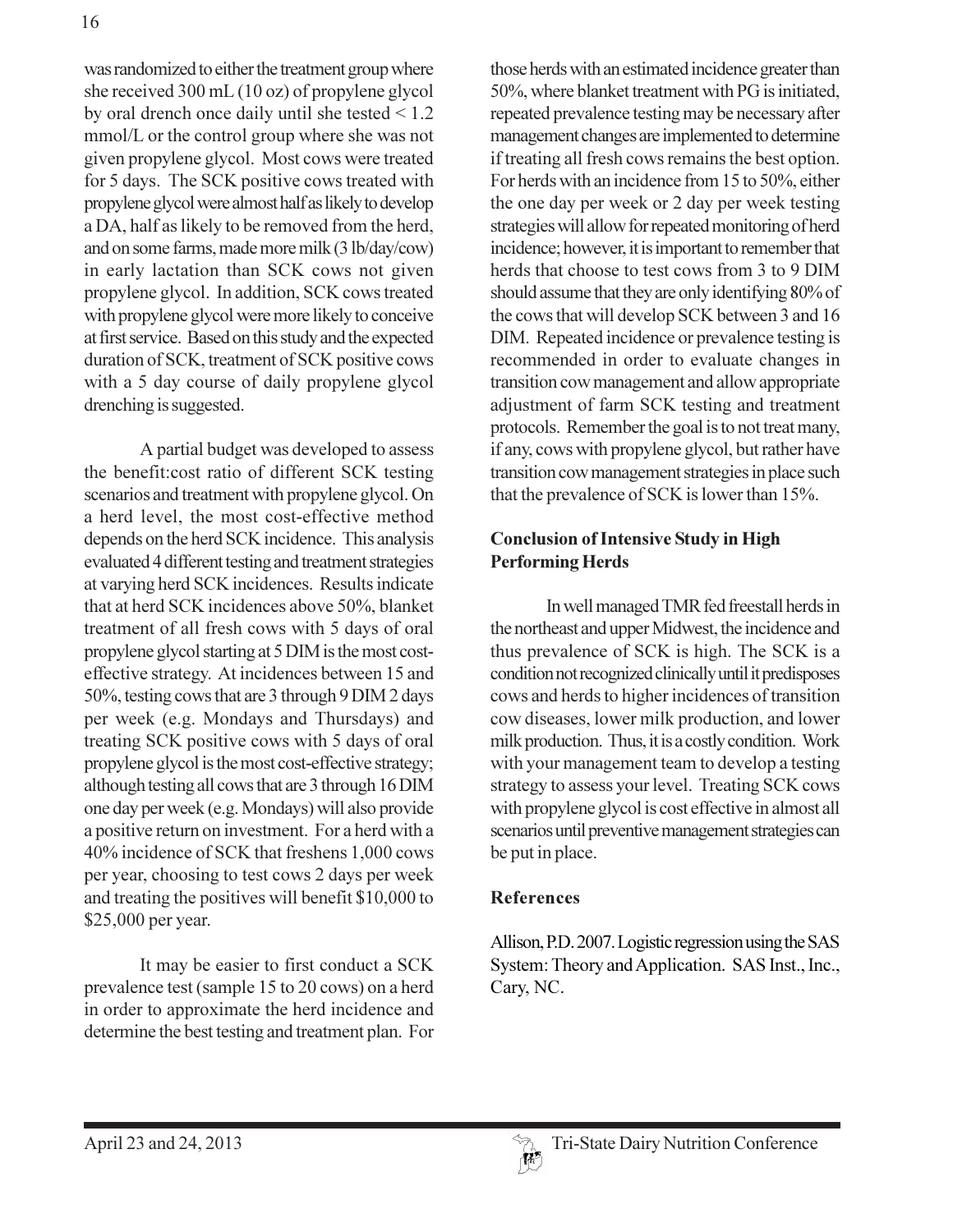was randomized to either the treatment group where she received  $300 \text{ mL}$  (10 oz) of propylene glycol by oral drench once daily until she tested  $\leq 1.2$ mmol/L or the control group where she was not given propylene glycol. Most cows were treated for 5 days. The SCK positive cows treated with propylene glycol were almost half as likely to develop a DA, half as likely to be removed from the herd, and on some farms, made more milk (3 lb/day/cow) in early lactation than SCK cows not given propylene glycol. In addition, SCK cows treated with propylene glycol were more likely to conceive at first service. Based on this study and the expected duration of SCK, treatment of SCK positive cows with a 5 day course of daily propylene glycol drenching is suggested.

A partial budget was developed to assess the benefit:cost ratio of different SCK testing scenarios and treatment with propylene glycol. On a herd level, the most cost-effective method depends on the herd SCK incidence. This analysis evaluated 4 different testing and treatment strategies at varying herd SCK incidences. Results indicate that at herd SCK incidences above 50%, blanket treatment of all fresh cows with 5 days of oral propylene glycol starting at 5 DIM is the most costeffective strategy. At incidences between 15 and 50%, testing cows that are 3 through 9 DIM 2 days per week (e.g. Mondays and Thursdays) and treating SCK positive cows with 5 days of oral propylene glycol is the most cost-effective strategy; although testing all cows that are 3 through 16 DIM one day per week (e.g. Mondays) will also provide a positive return on investment. For a herd with a 40% incidence of SCK that freshens 1,000 cows per year, choosing to test cows 2 days per week and treating the positives will benefit \$10,000 to \$25,000 per year.

It may be easier to first conduct a SCK prevalence test (sample 15 to 20 cows) on a herd in order to approximate the herd incidence and determine the best testing and treatment plan. For those herds with an estimated incidence greater than 50%, where blanket treatment with PG is initiated, repeated prevalence testing may be necessary after management changes are implemented to determine if treating all fresh cows remains the best option. For herds with an incidence from 15 to 50%, either the one day per week or 2 day per week testing strategies will allow for repeated monitoring of herd incidence; however, it is important to remember that herds that choose to test cows from 3 to 9 DIM should assume that they are only identifying 80% of the cows that will develop SCK between 3 and 16 DIM. Repeated incidence or prevalence testing is recommended in order to evaluate changes in transition cow management and allow appropriate adjustment of farm SCK testing and treatment protocols. Remember the goal is to not treat many, if any, cows with propylene glycol, but rather have transition cow management strategies in place such that the prevalence of SCK is lower than 15%.

## **Conclusion of Intensive Study in High Performing Herds**

In well managed TMR fed freestall herds in the northeast and upper Midwest, the incidence and thus prevalence of SCK is high. The SCK is a condition not recognized clinically until it predisposes cows and herds to higher incidences of transition cow diseases, lower milk production, and lower milk production. Thus, it is a costly condition. Work with your management team to develop a testing strategy to assess your level. Treating SCK cows with propylene glycol is cost effective in almost all scenarios until preventive management strategies can be put in place.

## **References**

Allison, P.D. 2007. Logistic regression using the SAS System: Theory and Application. SAS Inst., Inc., Cary, NC.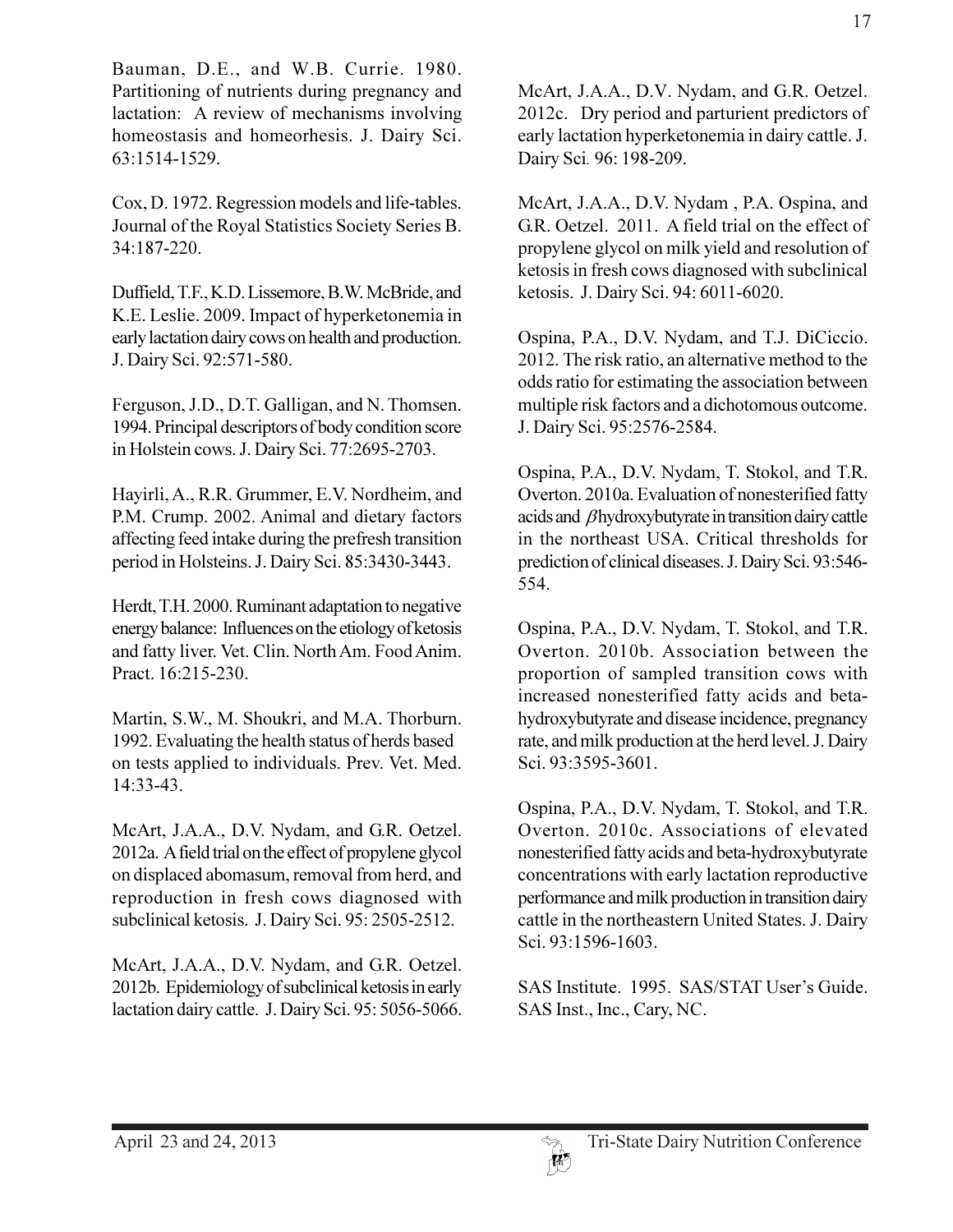Bauman, D.E., and W.B. Currie. 1980. Partitioning of nutrients during pregnancy and lactation: A review of mechanisms involving homeostasis and homeorhesis. J. Dairy Sci. 63:1514-1529.

Cox, D. 1972. Regression models and life-tables. Journal of the Royal Statistics Society Series B. 34:187-220.

Duffield, T.F., K.D. Lissemore, B.W. McBride, and K.E. Leslie. 2009. Impact of hyperketonemia in early lactation dairy cows on health and production. J. Dairy Sci. 92:571-580.

Ferguson, J.D., D.T. Galligan, and N. Thomsen. 1994. Principal descriptors of body condition score in Holstein cows. J. Dairy Sci. 77:2695-2703.

Hayirli, A., R.R. Grummer, E.V. Nordheim, and P.M. Crump. 2002. Animal and dietary factors affecting feed intake during the prefresh transition period in Holsteins. J. Dairy Sci. 85:3430-3443.

Herdt, T.H. 2000. Ruminant adaptation to negative energy balance: Influences on the etiology of ketosis and fatty liver. Vet. Clin. North Am. Food Anim. Pract. 16:215-230.

Martin, S.W., M. Shoukri, and M.A. Thorburn. 1992. Evaluating the health status of herds based on tests applied to individuals. Prev. Vet. Med. 14:33-43.

McArt, J.A.A., D.V. Nydam, and G.R. Oetzel. 2012a. A field trial on the effect of propylene glycol on displaced abomasum, removal from herd, and reproduction in fresh cows diagnosed with subclinical ketosis. J. Dairy Sci. 95: 2505-2512.

McArt, J.A.A., D.V. Nydam, and G.R. Oetzel. 2012b. Epidemiology of subclinical ketosis in early lactation dairy cattle. J. Dairy Sci. 95: 5056-5066. McArt, J.A.A., D.V. Nydam, and G.R. Oetzel. 2012c. Dry period and parturient predictors of early lactation hyperketonemia in dairy cattle. J. Dairy Sci. 96: 198-209.

McArt, J.A.A., D.V. Nydam, P.A. Ospina, and G.R. Oetzel. 2011. A field trial on the effect of propylene glycol on milk yield and resolution of ketosis in fresh cows diagnosed with subclinical ketosis. J. Dairy Sci. 94: 6011-6020.

Ospina, P.A., D.V. Nydam, and T.J. DiCiccio. 2012. The risk ratio, an alternative method to the odds ratio for estimating the association between multiple risk factors and a dichotomous outcome. J. Dairy Sci. 95:2576-2584.

Ospina, P.A., D.V. Nydam, T. Stokol, and T.R. Overton. 2010a. Evaluation of nonesterified fatty acids and  $\beta$ hydroxybutyrate in transition dairy cattle in the northeast USA. Critical thresholds for prediction of clinical diseases. J. Dairy Sci. 93:546-554.

Ospina, P.A., D.V. Nydam, T. Stokol, and T.R. Overton. 2010b. Association between the proportion of sampled transition cows with increased nonesterified fatty acids and betahydroxybutyrate and disease incidence, pregnancy rate, and milk production at the herd level. J. Dairy Sci. 93:3595-3601.

Ospina, P.A., D.V. Nydam, T. Stokol, and T.R. Overton. 2010c. Associations of elevated nonesterified fatty acids and beta-hydroxybutyrate concentrations with early lactation reproductive performance and milk production in transition dairy cattle in the northeastern United States. J. Dairy Sci. 93:1596-1603.

SAS Institute. 1995. SAS/STAT User's Guide. SAS Inst., Inc., Cary, NC.

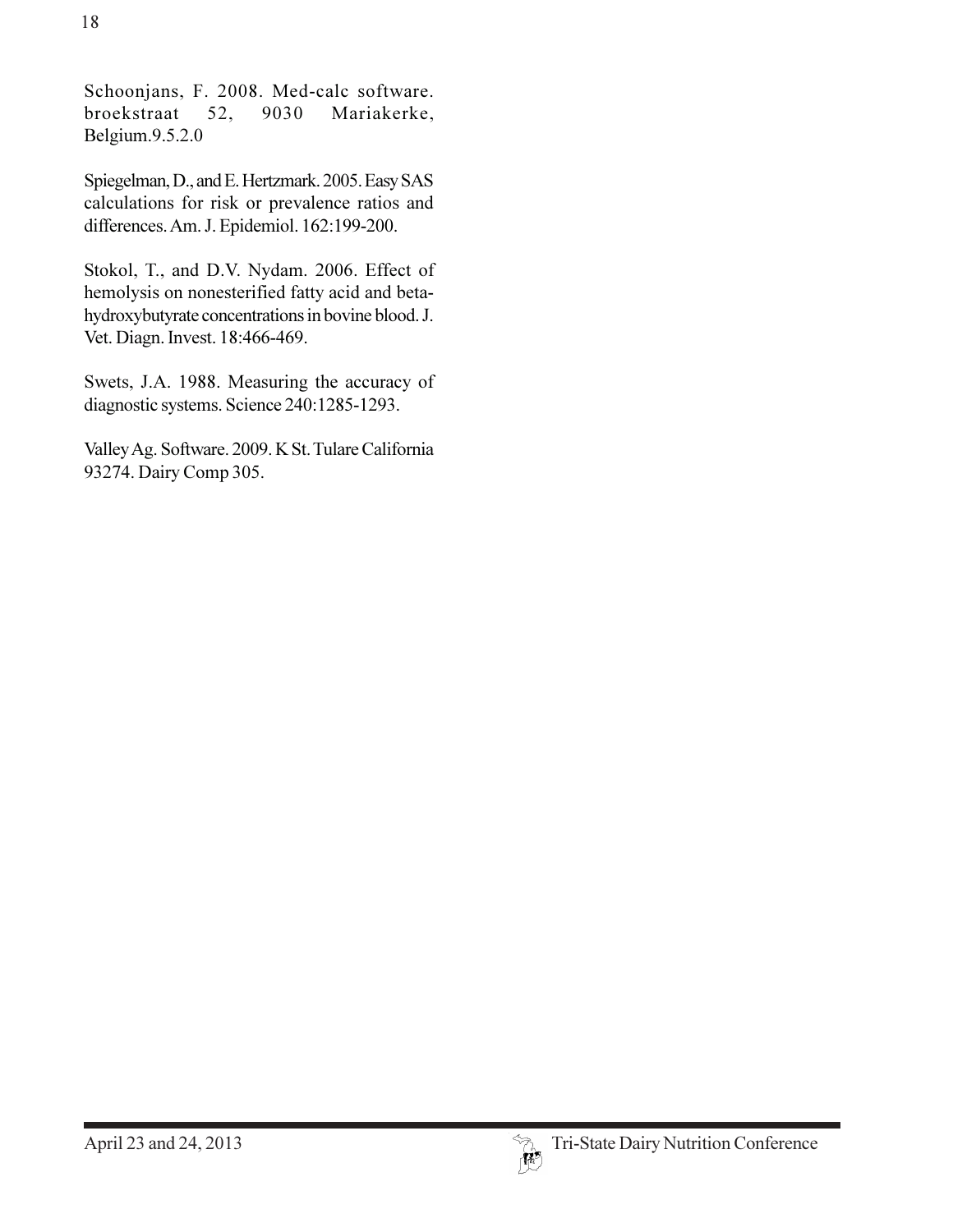Schoonjans, F. 2008. Med-calc software. broekstraat 52, 9030 Mariakerke, Belgium.9.5.2.0

Spiegelman, D., and E. Hertzmark. 2005. Easy SAS calculations for risk or prevalence ratios and differences. Am. J. Epidemiol. 162:199-200.

Stokol, T., and D.V. Nydam. 2006. Effect of hemolysis on nonesterified fatty acid and betahydroxybutyrate concentrations in bovine blood. J. Vet. Diagn. Invest. 18:466-469.

Swets, J.A. 1988. Measuring the accuracy of diagnostic systems. Science 240:1285-1293.

Valley Ag. Software. 2009. K St. Tulare California 93274. Dairy Comp 305.

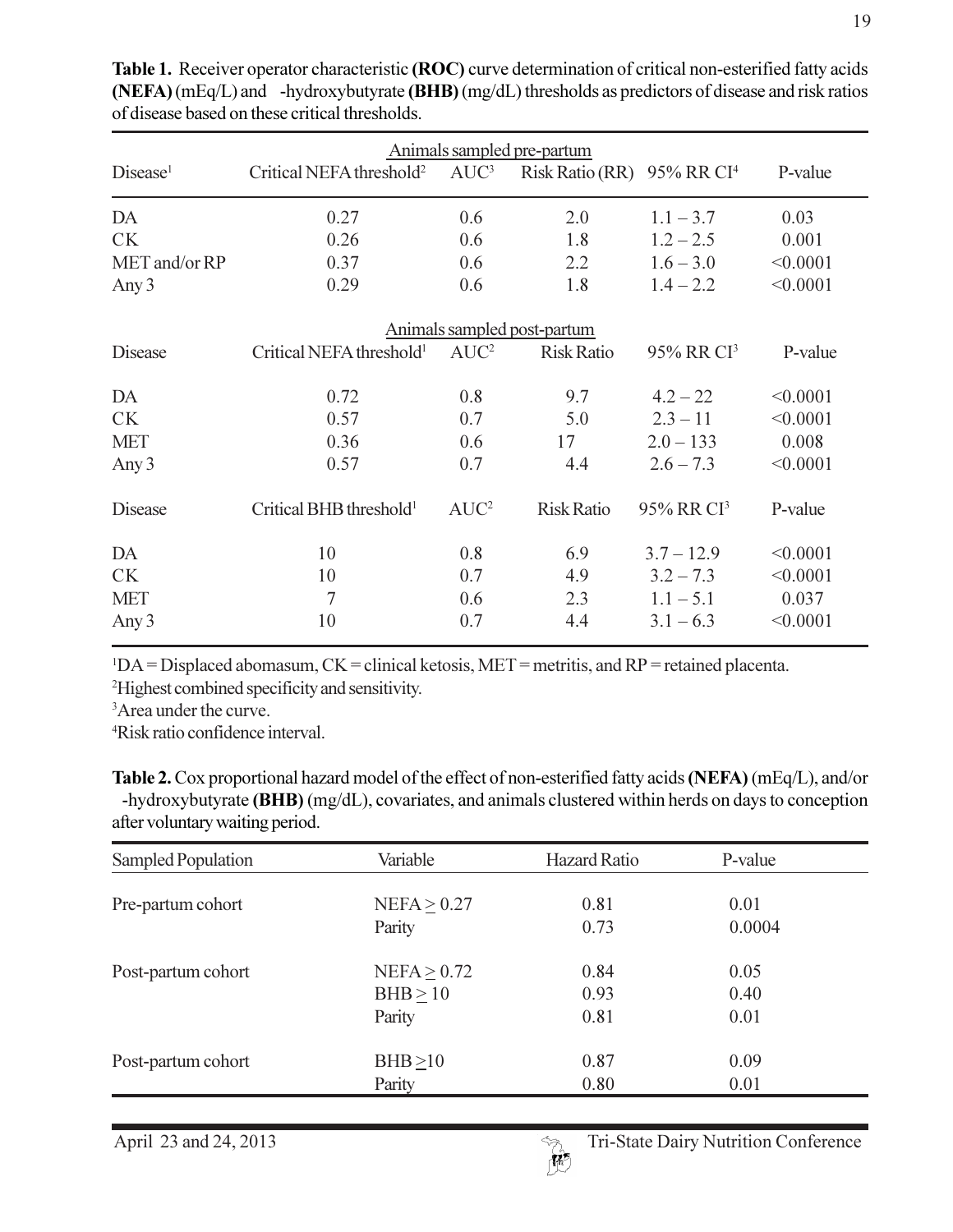| Animals sampled pre-partum  |                                      |         |                   |                        |          |  |
|-----------------------------|--------------------------------------|---------|-------------------|------------------------|----------|--|
| Disease <sup>1</sup>        | Critical NEFA threshold <sup>2</sup> | $AUC^3$ | Risk Ratio (RR)   | 95% RR CI <sup>4</sup> | P-value  |  |
| DA                          | 0.27                                 | 0.6     | 2.0               | $1.1 - 3.7$            | 0.03     |  |
| <b>CK</b>                   | 0.26                                 | 0.6     | 1.8               | $1.2 - 2.5$            | 0.001    |  |
| MET and/or RP               | 0.37                                 | 0.6     | 2.2               | $1.6 - 3.0$            | < 0.0001 |  |
| Any 3                       | 0.29                                 | 0.6     | 1.8               | $1.4 - 2.2$            | < 0.0001 |  |
| Animals sampled post-partum |                                      |         |                   |                        |          |  |
| <b>Disease</b>              | Critical NEFA threshold <sup>1</sup> | $AUC^2$ | <b>Risk Ratio</b> | 95% RR CI <sup>3</sup> | P-value  |  |
| DA                          | 0.72                                 | 0.8     | 9.7               | $4.2 - 22$             | < 0.0001 |  |
| <b>CK</b>                   | 0.57                                 | 0.7     | 5.0               | $2.3 - 11$             | < 0.0001 |  |
| <b>MET</b>                  | 0.36                                 | 0.6     | 17                | $2.0 - 133$            | 0.008    |  |
| Any 3                       | 0.57                                 | 0.7     | 4.4               | $2.6 - 7.3$            | < 0.0001 |  |
| <b>Disease</b>              | Critical BHB threshold <sup>1</sup>  | $AUC^2$ | <b>Risk Ratio</b> | 95% RR CI <sup>3</sup> | P-value  |  |
| DA                          | 10                                   | 0.8     | 6.9               | $3.7 - 12.9$           | < 0.0001 |  |
| <b>CK</b>                   | 10                                   | 0.7     | 4.9               | $3.2 - 7.3$            | < 0.0001 |  |
| <b>MET</b>                  | $\overline{7}$                       | 0.6     | 2.3               | $1.1 - 5.1$            | 0.037    |  |
| Any 3                       | 10                                   | 0.7     | 4.4               | $3.1 - 6.3$            | < 0.0001 |  |

Table 1. Receiver operator characteristic (ROC) curve determination of critical non-esterified fatty acids  $(NEFA)(mEq/L)$  and -hydroxybutyrate  $(BHB)(mg/dL)$  thresholds as predictors of disease and risk ratios of disease based on these critical thresholds.

 $\Delta$ <sup>1</sup>DA = Displaced abomasum, CK = clinical ketosis, MET = metritis, and RP = retained placenta.

<sup>2</sup>Highest combined specificity and sensitivity.

<sup>3</sup>Area under the curve.

<sup>4</sup>Risk ratio confidence interval.

Table 2. Cox proportional hazard model of the effect of non-esterified fatty acids (NEFA) (mEq/L), and/or -hydroxybutyrate (BHB) (mg/dL), covariates, and animals clustered within herds on days to conception after voluntary waiting period.

| Sampled Population | Variable         | <b>Hazard Ratio</b> | P-value |  |
|--------------------|------------------|---------------------|---------|--|
|                    |                  |                     |         |  |
| Pre-partum cohort  | $NEFA \geq 0.27$ | 0.81                | 0.01    |  |
|                    | Parity           | 0.73                | 0.0004  |  |
| Post-partum cohort | $NEFA \geq 0.72$ | 0.84                | 0.05    |  |
|                    | $BHB \ge 10$     | 0.93                | 0.40    |  |
|                    | Parity           | 0.81                | 0.01    |  |
| Post-partum cohort | BHB > 10         | 0.87                | 0.09    |  |
|                    | Parity           | 0.80                | 0.01    |  |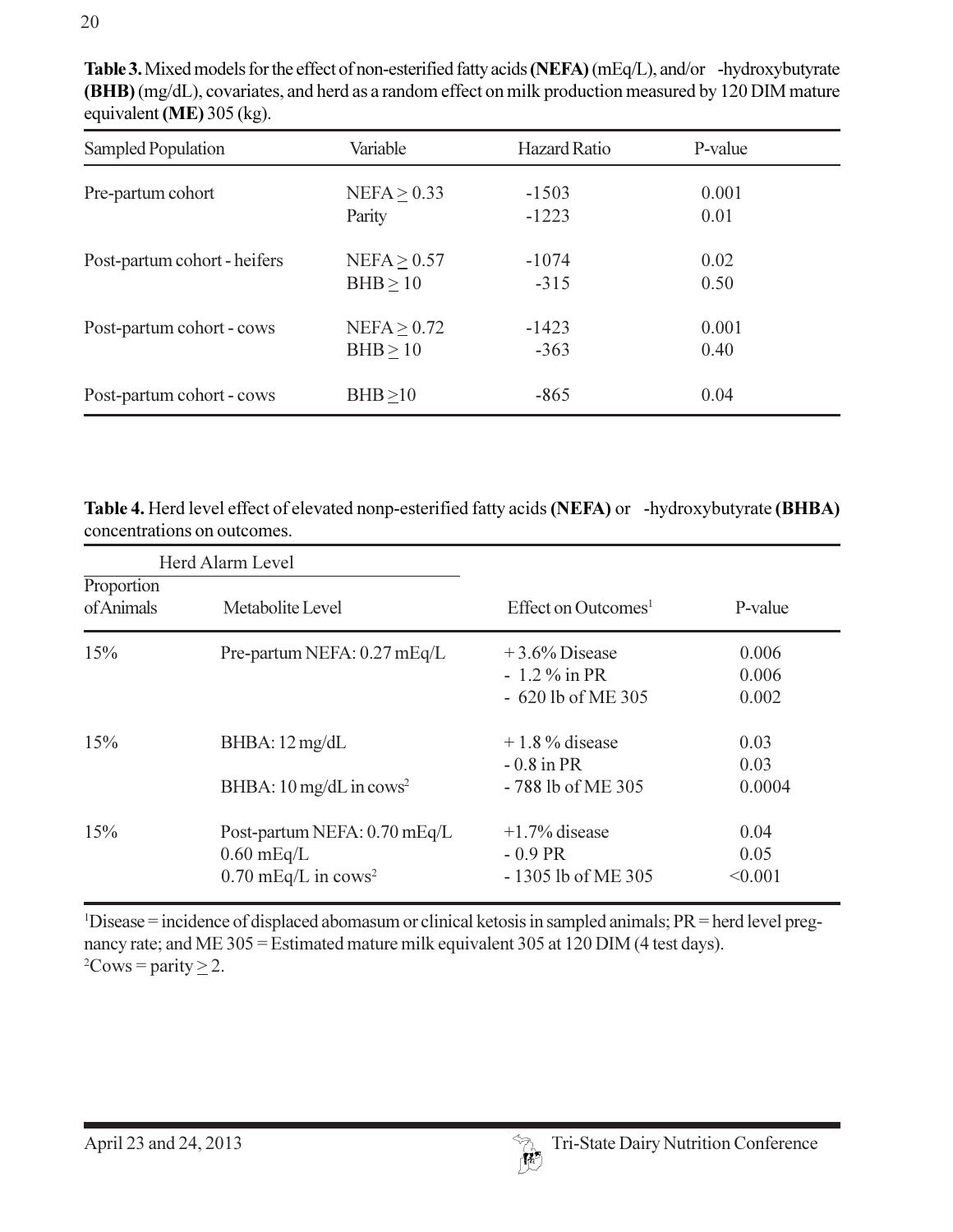| Sampled Population           | Variable                         | <b>Hazard Ratio</b> | P-value       |  |
|------------------------------|----------------------------------|---------------------|---------------|--|
| Pre-partum cohort            | $NEFA \geq 0.33$<br>Parity       | $-1503$<br>$-1223$  | 0.001<br>0.01 |  |
| Post-partum cohort - heifers | NEFA > 0.57<br>BHB > 10          | $-1074$<br>$-315$   | 0.02<br>0.50  |  |
| Post-partum cohort - cows    | $NEFA \geq 0.72$<br>$BHB \ge 10$ | $-1423$<br>$-363$   | 0.001<br>0.40 |  |
| Post-partum cohort - cows    | BHB > 10                         | $-865$              | 0.04          |  |

Table 3. Mixed models for the effect of non-esterified fatty acids (NEFA) (mEq/L), and/or -hydroxybutyrate (BHB) (mg/dL), covariates, and herd as a random effect on milk production measured by 120 DIM mature equivalent (ME) 305 (kg).

Table 4. Herd level effect of elevated nonp-esterified fatty acids (NEFA) or -hydroxybutyrate (BHBA) concentrations on outcomes.

| Herd Alarm Level         |                                                                                   |                                                           |                         |  |
|--------------------------|-----------------------------------------------------------------------------------|-----------------------------------------------------------|-------------------------|--|
| Proportion<br>of Animals | Metabolite Level                                                                  | Effect on Outcomes <sup>1</sup>                           | P-value                 |  |
| 15%                      | Pre-partum NEFA: 0.27 mEq/L                                                       | $+3.6\%$ Disease<br>$-1.2\%$ in PR<br>$-620$ lb of ME 305 | 0.006<br>0.006<br>0.002 |  |
| 15%                      | BHBA: 12 mg/dL<br>BHBA: $10 \text{ mg/dL}$ in cows <sup>2</sup>                   | $+1.8\%$ disease<br>$-0.8$ in PR<br>-788 lb of ME 305     | 0.03<br>0.03<br>0.0004  |  |
| 15%                      | Post-partum NEFA: 0.70 mEq/L<br>$0.60$ mEq/L<br>$0.70$ mEq/L in cows <sup>2</sup> | $+1.7\%$ disease<br>$-0.9$ PR<br>$-1305$ lb of ME 305     | 0.04<br>0.05<br>< 0.001 |  |

<sup>1</sup>Disease = incidence of displaced abomasum or clinical ketosis in sampled animals;  $PR$  = herd level pregnancy rate; and ME 305 = Estimated mature milk equivalent 305 at 120 DIM (4 test days). <sup>2</sup>Cows = parity  $\geq$  2.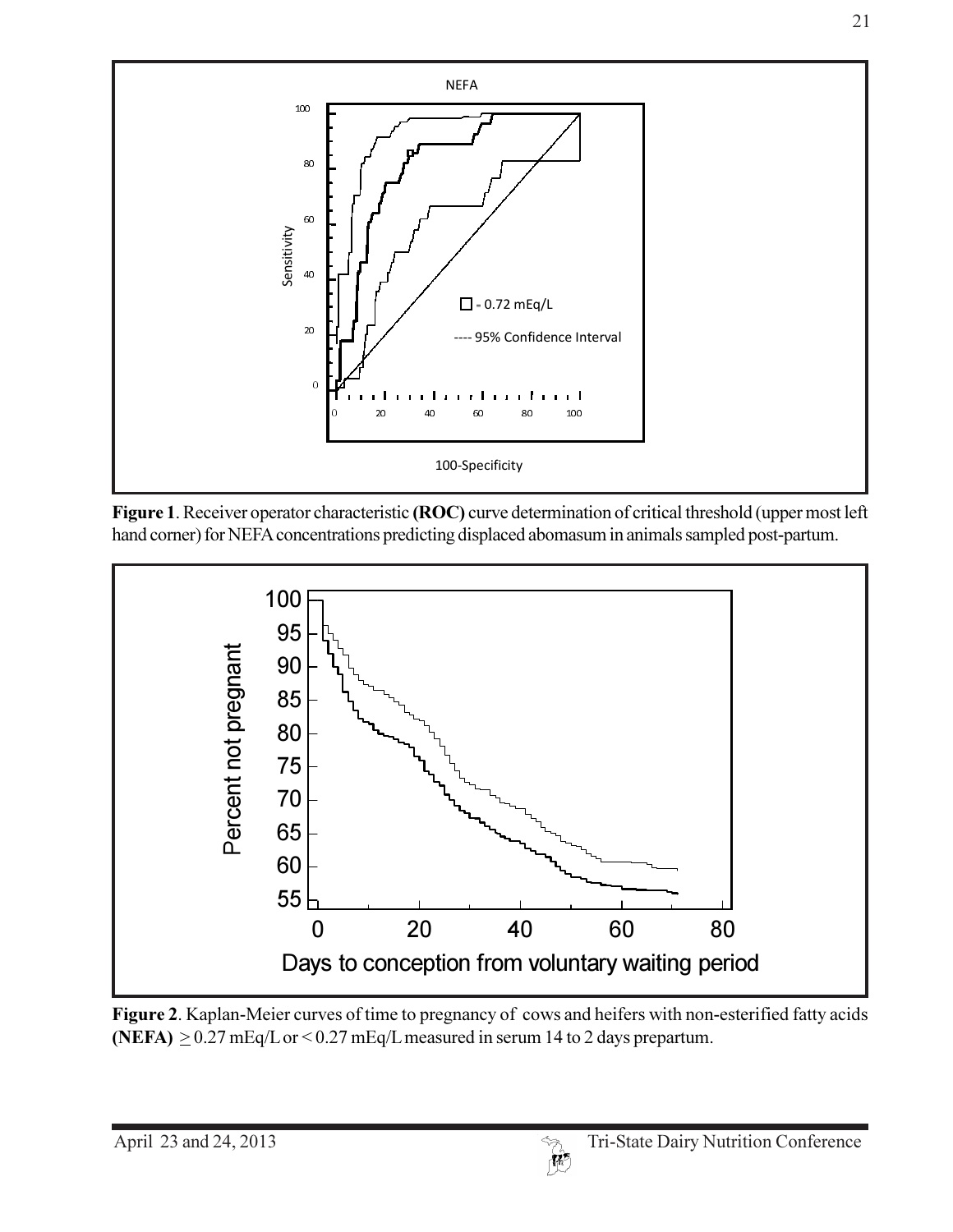

Figure 1. Receiver operator characteristic (ROC) curve determination of critical threshold (upper most left hand corner) for NEFA concentrations predicting displaced abomasum in animals sampled post-partum.



Figure 2. Kaplan-Meier curves of time to pregnancy of cows and heifers with non-esterified fatty acids (NEFA)  $\geq$  0.27 mEq/L or < 0.27 mEq/L measured in serum 14 to 2 days prepartum.